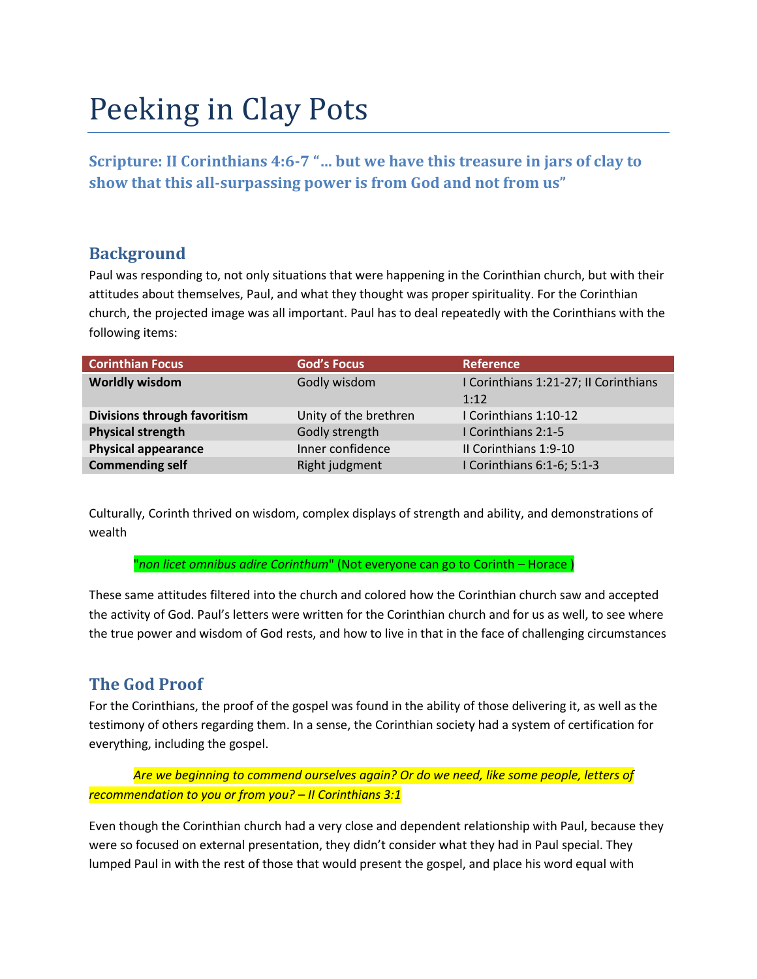# Peeking in Clay Pots

**Scripture: II Corinthians 4:6-7 "… but we have this treasure in jars of clay to show that this all-surpassing power is from God and not from us"**

## **Background**

Paul was responding to, not only situations that were happening in the Corinthian church, but with their attitudes about themselves, Paul, and what they thought was proper spirituality. For the Corinthian church, the projected image was all important. Paul has to deal repeatedly with the Corinthians with the following items:

| <b>Corinthian Focus</b>      | <b>God's Focus</b>    | <b>Reference</b>                      |
|------------------------------|-----------------------|---------------------------------------|
| <b>Worldly wisdom</b>        | Godly wisdom          | I Corinthians 1:21-27; II Corinthians |
|                              |                       | 1:12                                  |
| Divisions through favoritism | Unity of the brethren | I Corinthians 1:10-12                 |
| <b>Physical strength</b>     | Godly strength        | I Corinthians 2:1-5                   |
| <b>Physical appearance</b>   | Inner confidence      | Il Corinthians 1:9-10                 |
| <b>Commending self</b>       | Right judgment        | I Corinthians 6:1-6; 5:1-3            |

Culturally, Corinth thrived on wisdom, complex displays of strength and ability, and demonstrations of wealth

"*non licet omnibus adire Corinthum*" (Not everyone can go to Corinth – Horace )

These same attitudes filtered into the church and colored how the Corinthian church saw and accepted the activity of God. Paul's letters were written for the Corinthian church and for us as well, to see where the true power and wisdom of God rests, and how to live in that in the face of challenging circumstances

## **The God Proof**

For the Corinthians, the proof of the gospel was found in the ability of those delivering it, as well as the testimony of others regarding them. In a sense, the Corinthian society had a system of certification for everything, including the gospel.

*Are we beginning to commend ourselves again? Or do we need, like some people, letters of recommendation to you or from you? – II Corinthians 3:1*

Even though the Corinthian church had a very close and dependent relationship with Paul, because they were so focused on external presentation, they didn't consider what they had in Paul special. They lumped Paul in with the rest of those that would present the gospel, and place his word equal with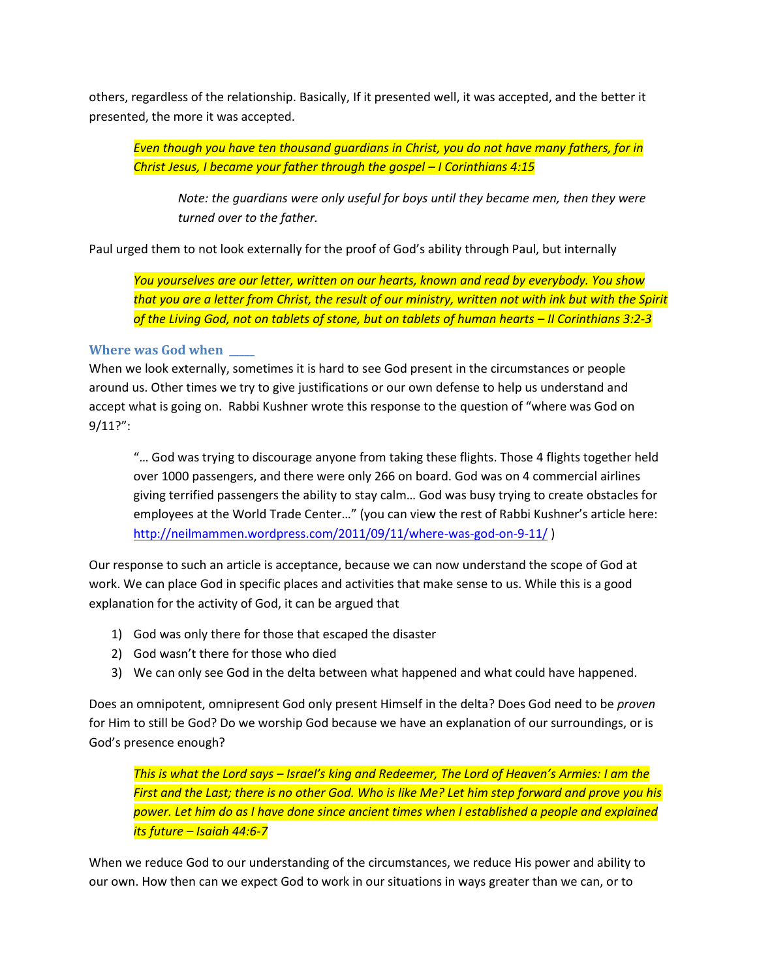others, regardless of the relationship. Basically, If it presented well, it was accepted, and the better it presented, the more it was accepted.

*Even though you have ten thousand guardians in Christ, you do not have many fathers, for in Christ Jesus, I became your father through the gospel – I Corinthians 4:15* 

*Note: the guardians were only useful for boys until they became men, then they were turned over to the father.* 

Paul urged them to not look externally for the proof of God's ability through Paul, but internally

*You yourselves are our letter, written on our hearts, known and read by everybody. You show that you are a letter from Christ, the result of our ministry, written not with ink but with the Spirit of the Living God, not on tablets of stone, but on tablets of human hearts – II Corinthians 3:2-3*

#### **Where was God when**

When we look externally, sometimes it is hard to see God present in the circumstances or people around us. Other times we try to give justifications or our own defense to help us understand and accept what is going on. Rabbi Kushner wrote this response to the question of "where was God on 9/11?":

"… God was trying to discourage anyone from taking these flights. Those 4 flights together held over 1000 passengers, and there were only 266 on board. God was on 4 commercial airlines giving terrified passengers the ability to stay calm… God was busy trying to create obstacles for employees at the World Trade Center…" (you can view the rest of Rabbi Kushner's article here: <http://neilmammen.wordpress.com/2011/09/11/where-was-god-on-9-11/> )

Our response to such an article is acceptance, because we can now understand the scope of God at work. We can place God in specific places and activities that make sense to us. While this is a good explanation for the activity of God, it can be argued that

- 1) God was only there for those that escaped the disaster
- 2) God wasn't there for those who died
- 3) We can only see God in the delta between what happened and what could have happened.

Does an omnipotent, omnipresent God only present Himself in the delta? Does God need to be *proven* for Him to still be God? Do we worship God because we have an explanation of our surroundings, or is God's presence enough?

*This is what the Lord says – Israel's king and Redeemer, The Lord of Heaven's Armies: I am the First and the Last; there is no other God. Who is like Me? Let him step forward and prove you his power. Let him do as I have done since ancient times when I established a people and explained its future – Isaiah 44:6-7*

When we reduce God to our understanding of the circumstances, we reduce His power and ability to our own. How then can we expect God to work in our situations in ways greater than we can, or to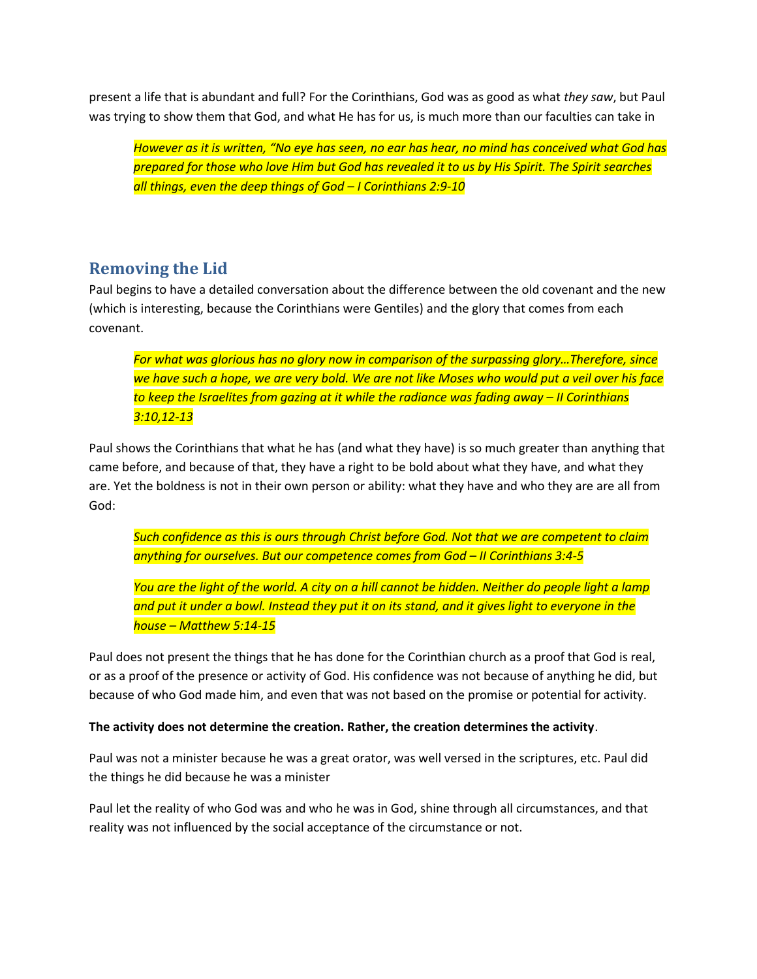present a life that is abundant and full? For the Corinthians, God was as good as what *they saw*, but Paul was trying to show them that God, and what He has for us, is much more than our faculties can take in

*However as it is written, "No eye has seen, no ear has hear, no mind has conceived what God has prepared for those who love Him but God has revealed it to us by His Spirit. The Spirit searches all things, even the deep things of God – I Corinthians 2:9-10*

## **Removing the Lid**

Paul begins to have a detailed conversation about the difference between the old covenant and the new (which is interesting, because the Corinthians were Gentiles) and the glory that comes from each covenant.

*For what was glorious has no glory now in comparison of the surpassing glory…Therefore, since we have such a hope, we are very bold. We are not like Moses who would put a veil over his face to keep the Israelites from gazing at it while the radiance was fading away – II Corinthians 3:10,12-13*

Paul shows the Corinthians that what he has (and what they have) is so much greater than anything that came before, and because of that, they have a right to be bold about what they have, and what they are. Yet the boldness is not in their own person or ability: what they have and who they are are all from God:

*Such confidence as this is ours through Christ before God. Not that we are competent to claim anything for ourselves. But our competence comes from God – II Corinthians 3:4-5*

*You are the light of the world. A city on a hill cannot be hidden. Neither do people light a lamp and put it under a bowl. Instead they put it on its stand, and it gives light to everyone in the house – Matthew 5:14-15*

Paul does not present the things that he has done for the Corinthian church as a proof that God is real, or as a proof of the presence or activity of God. His confidence was not because of anything he did, but because of who God made him, and even that was not based on the promise or potential for activity.

#### **The activity does not determine the creation. Rather, the creation determines the activity**.

Paul was not a minister because he was a great orator, was well versed in the scriptures, etc. Paul did the things he did because he was a minister

Paul let the reality of who God was and who he was in God, shine through all circumstances, and that reality was not influenced by the social acceptance of the circumstance or not.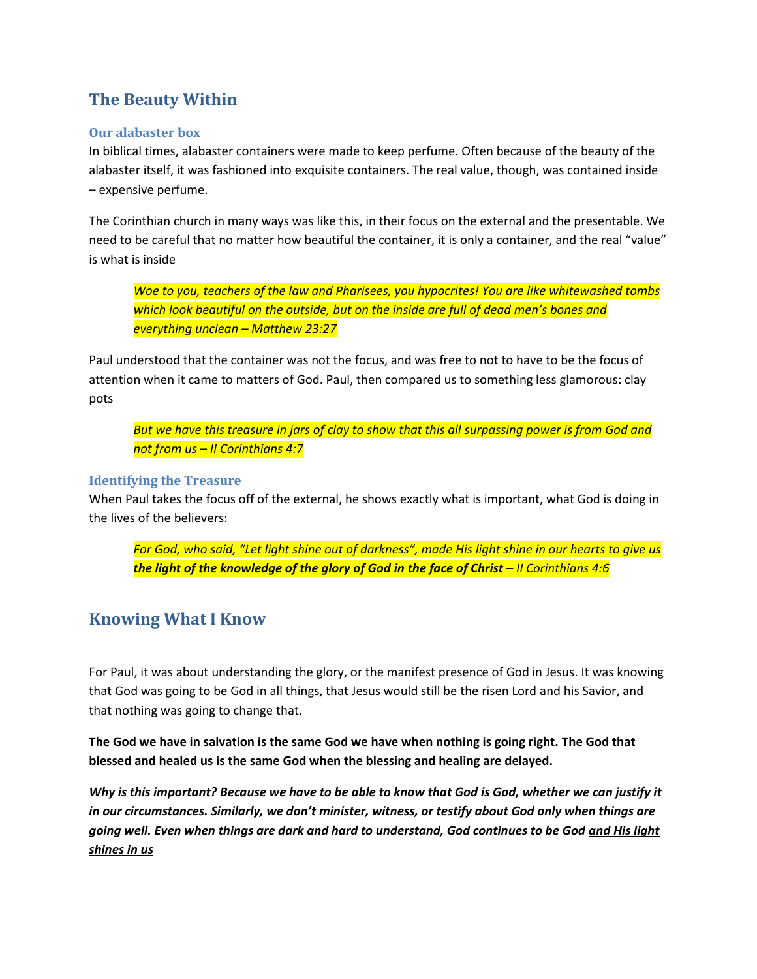# **The Beauty Within**

#### **Our alabaster box**

In biblical times, alabaster containers were made to keep perfume. Often because of the beauty of the alabaster itself, it was fashioned into exquisite containers. The real value, though, was contained inside – expensive perfume.

The Corinthian church in many ways was like this, in their focus on the external and the presentable. We need to be careful that no matter how beautiful the container, it is only a container, and the real "value" is what is inside

*Woe to you, teachers of the law and Pharisees, you hypocrites! You are like whitewashed tombs which look beautiful on the outside, but on the inside are full of dead men's bones and everything unclean – Matthew 23:27*

Paul understood that the container was not the focus, and was free to not to have to be the focus of attention when it came to matters of God. Paul, then compared us to something less glamorous: clay pots

*But we have this treasure in jars of clay to show that this all surpassing power is from God and not from us – II Corinthians 4:7*

#### **Identifying the Treasure**

When Paul takes the focus off of the external, he shows exactly what is important, what God is doing in the lives of the believers:

*For God, who said, "Let light shine out of darkness", made His light shine in our hearts to give us the light of the knowledge of the glory of God in the face of Christ – II Corinthians 4:6*

## **Knowing What I Know**

For Paul, it was about understanding the glory, or the manifest presence of God in Jesus. It was knowing that God was going to be God in all things, that Jesus would still be the risen Lord and his Savior, and that nothing was going to change that.

**The God we have in salvation is the same God we have when nothing is going right. The God that blessed and healed us is the same God when the blessing and healing are delayed.** 

*Why is this important? Because we have to be able to know that God is God, whether we can justify it in our circumstances. Similarly, we don't minister, witness, or testify about God only when things are going well. Even when things are dark and hard to understand, God continues to be God and His light shines in us*